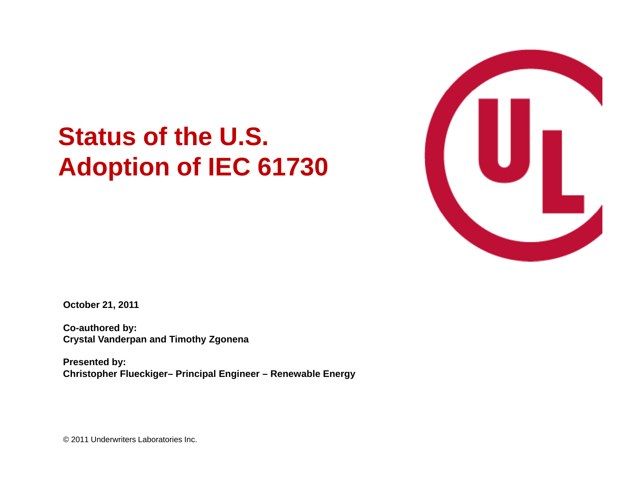# **Status of the U.S. Adoption of IEC 61730**



**October 21, 2011**

**Co-authored by: C l V d d Ti h Z Crystal Van derpan an Timot hy Zgonena**

**Presented by: Christopher Flueckiger– Principal Engineer – Renewable Energy**

© 2011 Underwriters Laboratories Inc.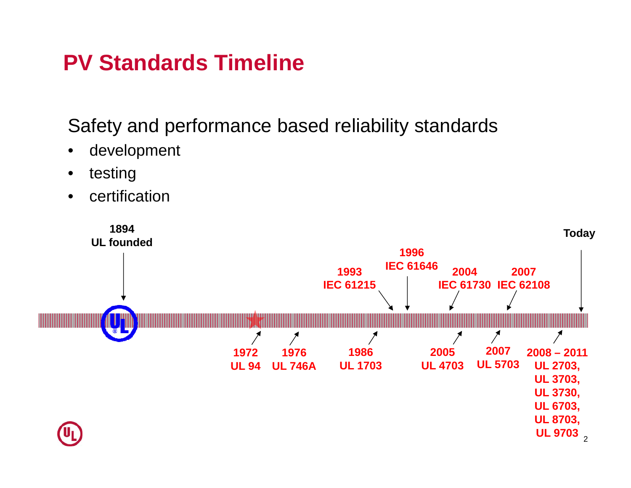### **PV Standards Timeline**

Safety and performance based reliability standards

- •development
- •testing
- •certification

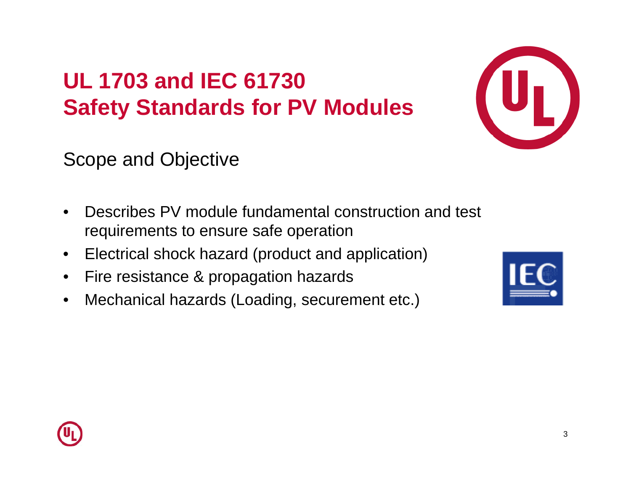## **UL 1703 and IEC 61730Safety Standards for PV Modules**



Scope and Objective

- $\bullet$ • Describes PV module fundamental construction and test requirements to ensure safe operation
- $\bullet$ Electrical shock hazard (product and application)
- $\bullet$ Fire resistance & propagation hazards
- $\bullet$ Mechanical hazards (Loading, securement etc.)



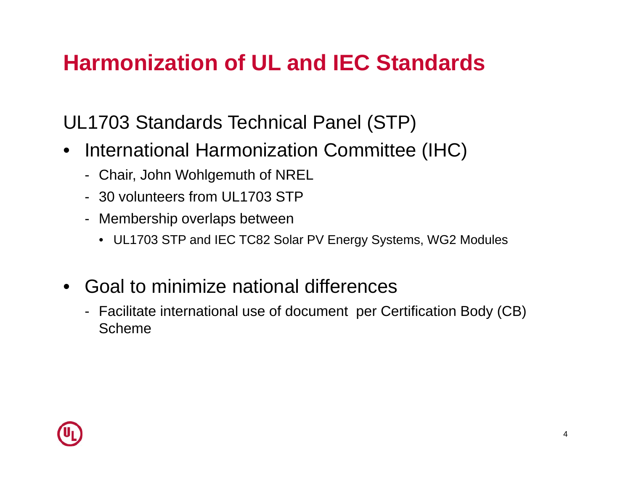### **Harmonization of UL and IEC Standards**

UL1703 Standards Technical Panel (STP)

- International Harmonization Committee (IHC)
	- Chair, John Wohlgemuth of NREL
	- 30 volunteers from UL1703 STP
	- Membership overlaps between
		- UL1703 STP and IEC TC82 Solar PV Energy Systems, WG2 Modules
- $\bullet$  Goal to minimize national differences
	- Facilitate international use of document per Certification Body (CB) Scheme

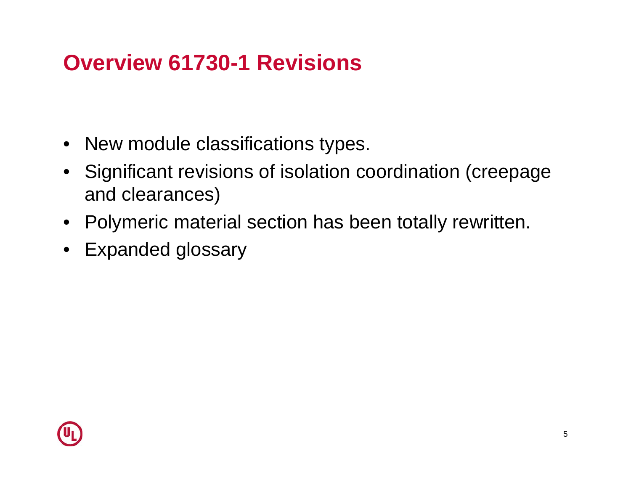### **Overview 61730-1 Revisions**

- New module classifications types.
- Significant revisions of isolation coordination (creepage and clearances)
- Polymeric material section has been totally rewritten.
- Expanded glossary

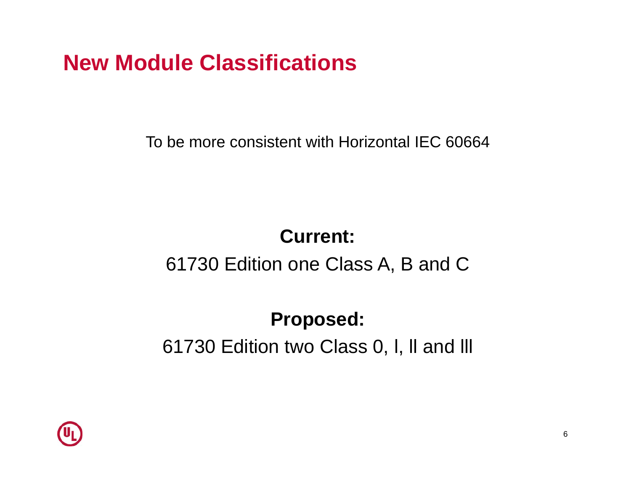### **New Module Classifications**

To be more consistent with Horizontal IEC 60664

#### **Current:**

#### 61730 Edition one Class A, B and C

### **Proposed:** 61730 Edition two Class 0, l, ll and lll

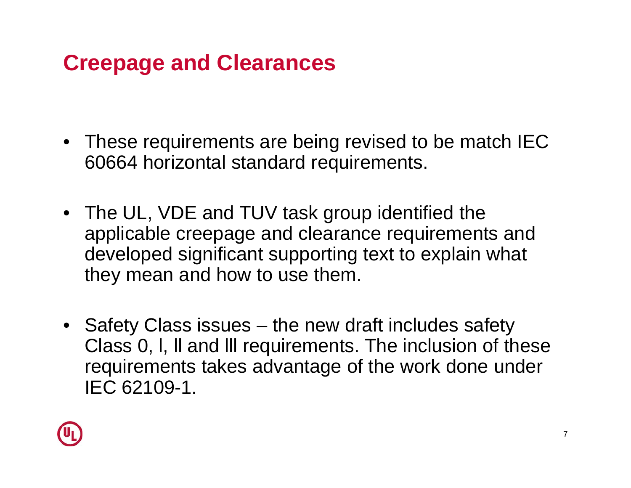### **Creepage and Clearances**

- These requirements are being revised to be match IEC 60664 horizontal standard requirements.
- $\bullet~$  The UL, VDE and TUV task group identified the applicable creepage and clearance requirements and developed significant supporting text to explain what they mean and how to use them.
- Safet y Class issues – the new draft includes safet y Class 0, l, ll and lll requirements. The inclusion of these requirements takes advantage of the work done under IEC 62109-1.

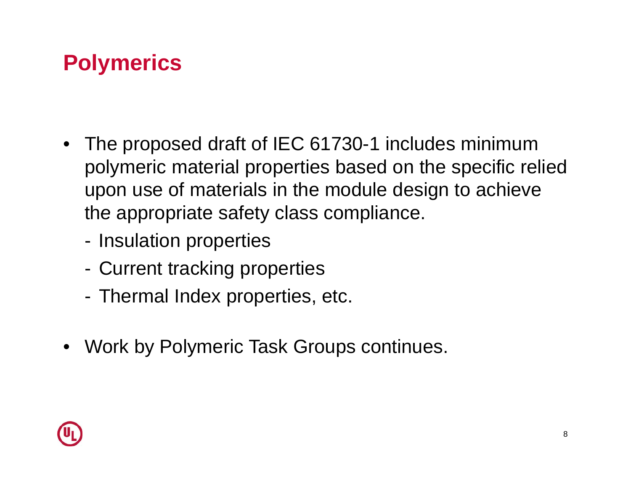## **Polymerics**

- The proposed draft of IEC 61730-1 includes minimum polymeric material properties based on the specific relied upon use of materials in the module design to achieve the appropriate safety class compliance.
	- -Insulation properties
	- Current tracking properties
	- -Thermal Index properties, etc.
- Work by Polymeric Task Groups continues.

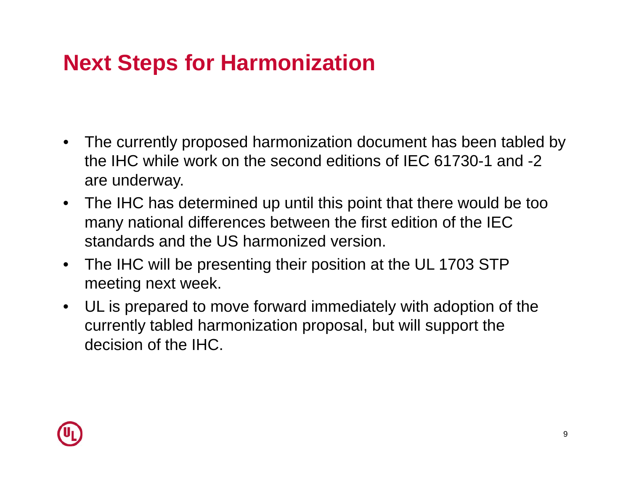## **Next Steps for Harmonization**

- The currently proposed harmonization document has been tabled by the IHC while work on the second editions of IEC 61730-1 and -2 are underway.
- The IHC has determined up until this point that there would be too many national differences between the first edition of the IEC standards and the US harmonized version.
- $\bullet$  The IHC will be presenting their position at the UL 1703 STP meeting next week.
- UL is prepared to move forward immediately with adoption of the currently tabled harmonization proposal, but will support the decision of the IHC.